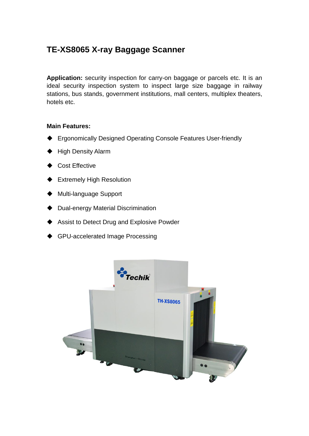# **TE-XS8065 X-ray Baggage Scanner**

**Application:** security inspection for carry-on baggage or parcels etc. It is an ideal security inspection system to inspect large size baggage in railway stations, bus stands, government institutions, mall centers, multiplex theaters, hotels etc.

#### **Main Features:**

- ◆ Ergonomically Designed Operating Console Features User-friendly
- ♦ High Density Alarm
- Cost Effective
- ◆ Extremely High Resolution
- Multi-language Support
- Dual-energy Material Discrimination
- Assist to Detect Drug and Explosive Powder
- GPU-accelerated Image Processing

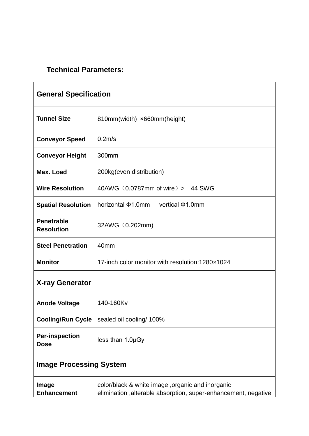## **Technical Parameters:**

| <b>General Specification</b>           |                                                  |  |
|----------------------------------------|--------------------------------------------------|--|
| <b>Tunnel Size</b>                     | 810mm(width) ×660mm(height)                      |  |
| <b>Conveyor Speed</b>                  | $0.2m$ /s                                        |  |
| <b>Conveyor Height</b>                 | 300mm                                            |  |
| Max. Load                              | 200kg(even distribution)                         |  |
| <b>Wire Resolution</b>                 | 40AWG (0.0787mm of wire) > 44 SWG                |  |
| <b>Spatial Resolution</b>              | horizontal $\Phi$ 1.0mm vertical $\Phi$ 1.0mm    |  |
| <b>Penetrable</b><br><b>Resolution</b> | 32AWG (0.202mm)                                  |  |
| <b>Steel Penetration</b>               | 40 <sub>mm</sub>                                 |  |
| <b>Monitor</b>                         | 17-inch color monitor with resolution: 1280×1024 |  |
| <b>X-ray Generator</b>                 |                                                  |  |
| <b>Anode Voltage</b>                   | 140-160Kv                                        |  |
| <b>Cooling/Run Cycle</b>               | sealed oil cooling/ 100%                         |  |
| <b>Per-inspection</b><br><b>Dose</b>   | less than 1.0µGy                                 |  |
| <b>Image Processing System</b>         |                                                  |  |
| Image                                  | color/black & white image ,organic and inorganic |  |

|                    |  | . |                                                                 |  |
|--------------------|--|---|-----------------------------------------------------------------|--|
| <b>Enhancement</b> |  |   | elimination , alterable absorption, super-enhancement, negative |  |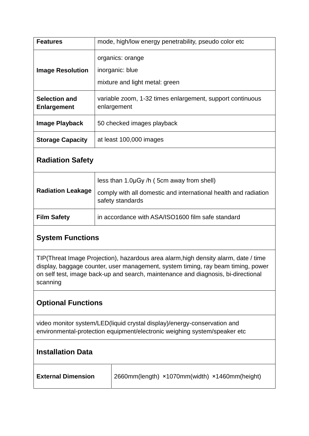| <b>Features</b>                            | mode, high/low energy penetrability, pseudo color etc                    |
|--------------------------------------------|--------------------------------------------------------------------------|
| <b>Image Resolution</b>                    | organics: orange<br>inorganic: blue<br>mixture and light metal: green    |
| <b>Selection and</b><br><b>Enlargement</b> | variable zoom, 1-32 times enlargement, support continuous<br>enlargement |
| <b>Image Playback</b>                      | 50 checked images playback                                               |
| <b>Storage Capacity</b>                    | at least 100,000 images                                                  |

#### **Radiation Safety**

| <b>Radiation Leakage</b> | less than 1.0µGy /h (5cm away from shell)<br>comply with all domestic and international health and radiation<br>safety standards |
|--------------------------|----------------------------------------------------------------------------------------------------------------------------------|
| <b>Film Safety</b>       | in accordance with ASA/ISO1600 film safe standard                                                                                |

#### **System Functions**

TIP(Threat Image Projection), hazardous area alarm,high density alarm, date / time display, baggage counter, user management, system timing, ray beam timing, power on self test, image back-up and search, maintenance and diagnosis, bi-directional scanning

### **Optional Functions**

video monitor system/LED(liquid crystal display)/energy-conservation and environmental-protection equipment/electronic weighing system/speaker etc

| <b>Installation Data</b> |  |
|--------------------------|--|
|--------------------------|--|

**External Dimension** 2660mm(length) ×1070mm(width) ×1460mm(height)